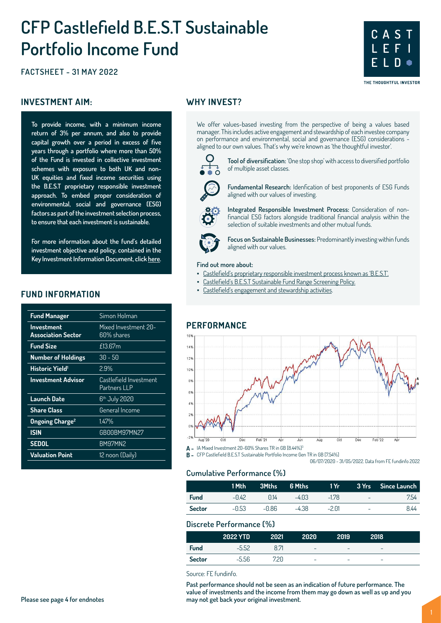# **CFP Castlefield B.E.S.T Sustainable Portfolio Income Fund**

**FACTSHEET - 31 MAY 2022**

#### **INVESTMENT AIM:** WHY INVEST?

**To provide income, with a minimum income return of 3% per annum, and also to provide capital growth over a period in excess of five years through a portfolio where more than 50% of the Fund is invested in collective investment schemes with exposure to both UK and non-UK equities and fixed income securities using the B.E.S.T proprietary responsible investment approach. To embed proper consideration of environmental, social and governance (ESG) factors as part of the investment selection process, to ensure that each investment is sustainable.**

**For more information about the fund's detailed investment objective and policy, contained in the Key Investment Information Document, click [here](https://www.conbriofunds.com/media/qfgfflsq/kiid-cfp-castlefield-b-e-s-t-sustainable-portfolio-income-fund.pdf).**

#### **FUND INFORMATION**

| <b>Fund Manager</b>                            | Simon Holman                           |
|------------------------------------------------|----------------------------------------|
| <b>Investment</b><br><b>Association Sector</b> | Mixed Investment 20-<br>60% shares     |
| <b>Fund Size</b>                               | £13.67m                                |
| <b>Number of Holdings</b>                      | $30 - 50$                              |
| Historic Yield <sup>1</sup>                    | $2.9\%$                                |
| <b>Investment Advisor</b>                      | Castlefield Investment<br>Partners LLP |
| Launch Date                                    | 6 <sup>th</sup> July 2020              |
| <b>Share Class</b>                             | General Income                         |
| <b>Ongoing Charge<sup>2</sup></b>              | 1.47%                                  |
| <b>ISIN</b>                                    | GB00BM97MN27                           |
| <b>SEDOL</b>                                   | BM97MN2                                |
| <b>Valuation Point</b>                         | 12 noon (Daily)                        |

We offer values-based investing from the perspective of being a values based manager. This includes active engagement and stewardship of each investee company on performance and environmental, social and governance (ESG) considerations aligned to our own values. That's why we're known as 'the thoughtful investor'.



**Tool of diversification:** 'One stop shop' with access to diversified portfolio of multiple asset classes.

**C A S T L E F I**

**E L D**

THE THOUGHTFUL INVESTOR

**Fundamental Research:** Idenfication of best proponents of ESG Funds aligned with our values of investing.

**Integrated Responsible Investment Process:** Consideration of nonfinancial ESG factors alongside traditional financial analysis within the selection of suitable investments and other mutual funds.



**Focus on Sustainable Businesses:** Predominantly investing within funds aligned with our values.

#### **Find out more about:**

- [Castlefield's proprietary responsible investment process known as 'B.E.S.T'.](https://www.castlefield.com/media/3632/cip-best-system.pdf)
	- [Castlefield's B.E.S.T Sustainable Fund Range Screening Policy](https://www.castlefield.com/media/3310/castlefield-best-sustainable-fund-range-screening-policy.pdf).
- [Castlefield's engagement and stewardship activities](https://www.castlefield.com/media/3672/castlefield-annual-stewardship-report-2020-2021.pdf).

#### **PERFORMANCE**



**B -** CFP Castlefield B.E.S.T Sustainable Portfolio Income Gen TR in GB [7.54%]

06/07/2020 - 31/05/2022. Data from FE fundinfo 2022

### **Cumulative Performance (%)**

|             | 1 Mth |       | 3Mths 6 Mths | 1Yr     |        | 3 Yrs Since Launch |
|-------------|-------|-------|--------------|---------|--------|--------------------|
| <b>Fund</b> | -0.42 | 0.14  | $-4.03$      | -178    | ---    | 7.54               |
| Sector      | -0.53 | -0.86 | -4.38        | $-2.01$ | $\sim$ | 844                |

#### **Discrete Performance (%)**

|               | <b>2022 YTD</b> | 2021 | 2020                     | 2019 | 2018                     |  |
|---------------|-----------------|------|--------------------------|------|--------------------------|--|
| <b>Fund</b>   | $-5.52$         | 8.71 | $\overline{\phantom{a}}$ | -    | $\overline{\phantom{a}}$ |  |
| <b>Sector</b> | $-5.56$         | 7.20 | -                        | -    | $\overline{\phantom{a}}$ |  |

Source: FE fundinfo.

**Past performance should not be seen as an indication of future performance. The value of investments and the income from them may go down as well as up and you may not get back your original investment.**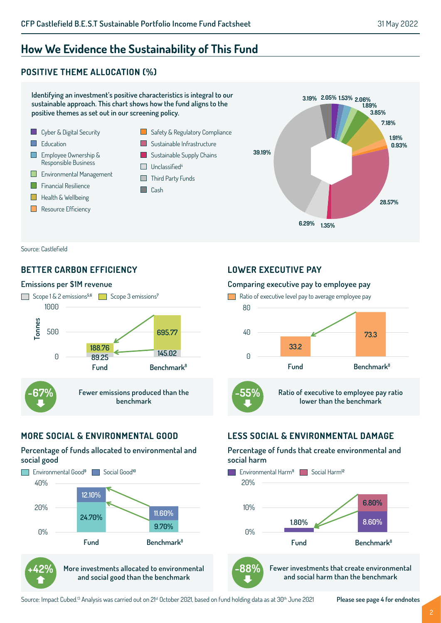# **How We Evidence the Sustainability of This Fund**

# **POSITIVE THEME ALLOCATION (%)**



Source: Castlefield

# **BETTER CARBON EFFICIENCY**

#### **Emissions per \$1M revenue**



# **MORE SOCIAL & ENVIRONMENTAL GOOD**

#### **Percentage of funds allocated to environmental and social good**



**+42%**

**More investments allocated to environmental and social good than the benchmark**

#### **LOWER EXECUTIVE PAY**

#### **Comparing executive pay to employee pay**

![](_page_1_Figure_16.jpeg)

# **LESS SOCIAL & ENVIRONMENTAL DAMAGE**

#### **Percentage of funds that create environmental and social harm**

![](_page_1_Figure_19.jpeg)

![](_page_1_Picture_20.jpeg)

**Fewer investments that create environmental and social harm than the benchmark**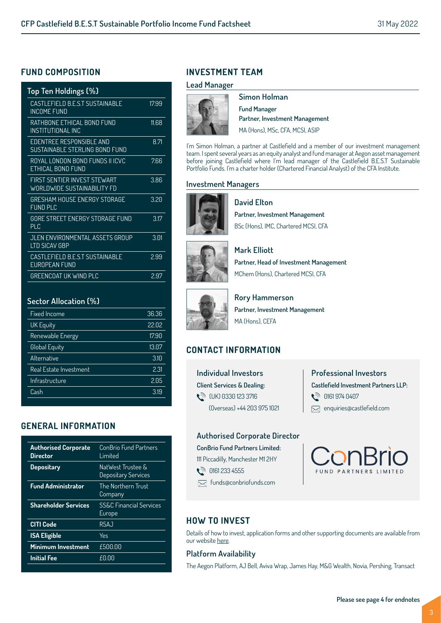### **FUND COMPOSITION**

| Top Ten Holdings (%)                                        |       |
|-------------------------------------------------------------|-------|
| CASTLEFIELD B.E.S.T SUSTAINABLE<br>INCOME FUND              | 1799  |
| RATHBONE ETHICAL BOND FUND<br>INSTITUTIONAL INC             | 11.68 |
| FDFNTRFF RFSPONSIBLF AND<br>SUSTAINABLE STERLING BOND FUND  | 8.71  |
| ROYAL LONDON BOND FUNDS II ICVC<br>FTHICAL BOND FUND        | 7.66  |
| FIRST SENTIFR INVEST STEWART<br>WORLDWIDE SUSTAINABILITY FD | 3.86  |
| <b>GRESHAM HOUSE ENERGY STORAGE</b><br><b>FUND PLC</b>      | 3.20  |
| GORF STRFFT FNFRGY STORAGF FUND<br>PIC                      | 3.17  |
| JLEN ENVIRONMENTAL ASSETS GROUP<br>I TD SICAV GRP           | 3.01  |
| CASTLEFIELD B.E.S.T SUSTAINABLE<br><b>FUROPFAN FUND</b>     | 299   |
| GREENCOAT UK WIND PLC                                       | 2.97  |

#### **Sector Allocation (%)**

| <b>Fixed Income</b>           | 36.36 |
|-------------------------------|-------|
| <b>UK Equity</b>              | 22.02 |
| Renewable Energy              | 17.90 |
| Global Equity                 | 13.07 |
| Alternative                   | 3.10  |
| <b>Real Estate Investment</b> | 2.31  |
| Infrastructure                | 2.05  |
| Cash                          | 3.19  |

# **GENERAL INFORMATION**

| <b>Authorised Corporate</b><br><b>Director</b> | ConBrio Fund Partners<br>I imited               |
|------------------------------------------------|-------------------------------------------------|
| <b>Depositary</b>                              | NatWest Trustee &<br><b>Depositary Services</b> |
| <b>Fund Administrator</b>                      | The Northern Trust<br>Company                   |
| <b>Shareholder Services</b>                    | <b>SS&amp;C Financial Services</b><br>Europe    |
| <b>CITI Code</b>                               | R5AJ                                            |
| <b>ISA Eligible</b>                            | Yes                                             |
| Minimum Investment                             | £500.00                                         |
| <b>Initial Fee</b>                             | £0.00                                           |
|                                                |                                                 |

# **INVESTMENT TEAM**

#### **Lead Manager**

![](_page_2_Picture_10.jpeg)

**Simon Holman Fund Manager Partner, Investment Management** MA (Hons), MSc, CFA, MCSI, ASIP

I'm Simon Holman, a partner at Castlefield and a member of our investment management team. I spent several years as an equity analyst and fund manager at Aegon asset management before joining Castlefield where I'm lead manager of the Castlefield B.E.S.T Sustainable Portfolio Funds. I'm a charter holder (Chartered Financial Analyst) of the CFA Institute.

#### **Investment Managers**

![](_page_2_Picture_14.jpeg)

**Partner, Investment Management** BSc (Hons), IMC, Chartered MCSI, CFA

![](_page_2_Picture_16.jpeg)

**Mark Elliott Partner, Head of Investment Management**

**David Elton**

MChem (Hons), Chartered MCSI, CFA

![](_page_2_Picture_19.jpeg)

**Rory Hammerson Partner, Investment Management** MA (Hons), CEFA

# **CONTACT INFORMATION**

**Individual Investors Client Services & Dealing:**  t<sup>∂</sup> (UK) 0330 123 3716 (Overseas) +44 203 975 1021

# **Professional Investors Castlefield Investment Partners LLP: 0161 974 0407**  $\boxtimes$  enquiries@castlefield.com

#### **Authorised Corporate Director**

**ConBrio Fund Partners Limited:** 111 Piccadilly, Manchester M1 2HY

**्री 0161 233 4555** 

funds@conbriofunds.com

ConBrio

# **HOW TO INVEST**

Details of how to invest, application forms and other supporting documents are available from our website [here.](https://www.conbriofunds.com/investment-managers/castlefield-investment-partners-llp-cip/)

### **Platform Availability**

The Aegon Platform, AJ Bell, Aviva Wrap, James Hay, M&G Wealth, Novia, Pershing, Transact